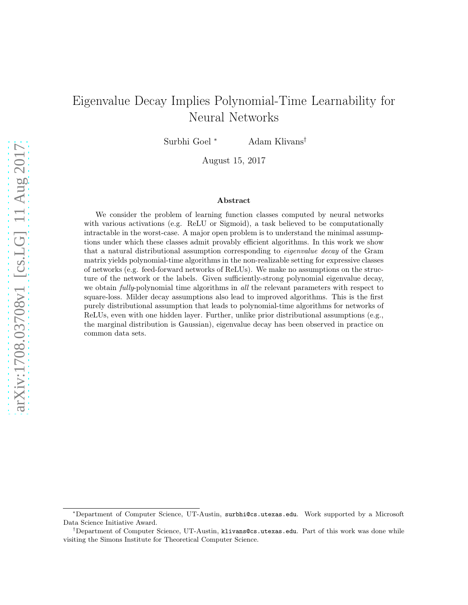# Eigenvalue Decay Implies Polynomial-Time Learnability for Neural Networks

Surbhi Goel <sup>∗</sup> Adam Klivans†

August 15, 2017

#### Abstract

We consider the problem of learning function classes computed by neural networks with various activations (e.g. ReLU or Sigmoid), a task believed to be computationally intractable in the worst-case. A major open problem is to understand the minimal assumptions under which these classes admit provably efficient algorithms. In this work we show that a natural distributional assumption corresponding to *eigenvalue decay* of the Gram matrix yields polynomial-time algorithms in the non-realizable setting for expressive classes of networks (e.g. feed-forward networks of ReLUs). We make no assumptions on the structure of the network or the labels. Given sufficiently-strong polynomial eigenvalue decay, we obtain *fully*-polynomial time algorithms in all the relevant parameters with respect to square-loss. Milder decay assumptions also lead to improved algorithms. This is the first purely distributional assumption that leads to polynomial-time algorithms for networks of ReLUs, even with one hidden layer. Further, unlike prior distributional assumptions (e.g., the marginal distribution is Gaussian), eigenvalue decay has been observed in practice on common data sets.

<sup>∗</sup>Department of Computer Science, UT-Austin, surbhi@cs.utexas.edu. Work supported by a Microsoft Data Science Initiative Award.

<sup>&</sup>lt;sup>†</sup>Department of Computer Science, UT-Austin, klivans@cs.utexas.edu. Part of this work was done while visiting the Simons Institute for Theoretical Computer Science.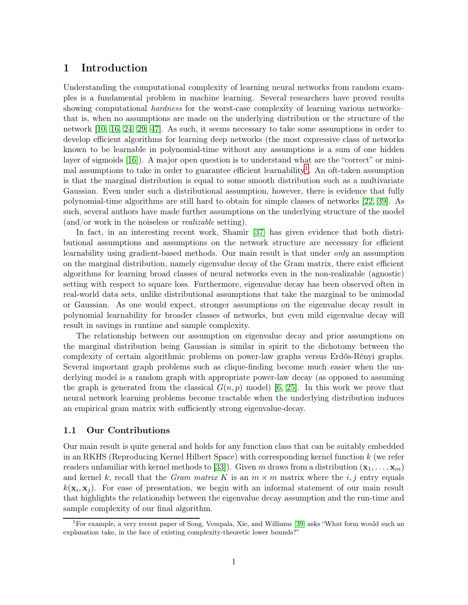# 1 Introduction

Understanding the computational complexity of learning neural networks from random examples is a fundamental problem in machine learning. Several researchers have proved results showing computational hardness for the worst-case complexity of learning various networks– that is, when no assumptions are made on the underlying distribution or the structure of the network [\[10,](#page-18-0) [16,](#page-19-0) [24,](#page-19-1) [29,](#page-20-0) [47\]](#page-21-0). As such, it seems necessary to take some assumptions in order to develop efficient algorithms for learning deep networks (the most expressive class of networks known to be learnable in polynomial-time without any assumptions is a sum of one hidden layer of sigmoids [\[16\]](#page-19-0)). A major open question is to understand what are the "correct" or mini $m$ al assumptions to take in order to guarantee efficient learnability<sup>1</sup>. An oft-taken assumption is that the marginal distribution is equal to some smooth distribution such as a multivariate Gaussian. Even under such a distributional assumption, however, there is evidence that fully polynomial-time algorithms are still hard to obtain for simple classes of networks [\[22,](#page-19-2) [39\]](#page-20-1). As such, several authors have made further assumptions on the underlying structure of the model (and/or work in the noiseless or realizable setting).

In fact, in an interesting recent work, Shamir [\[37\]](#page-20-2) has given evidence that both distributional assumptions and assumptions on the network structure are necessary for efficient learnability using gradient-based methods. Our main result is that under only an assumption on the marginal distribution, namely eigenvalue decay of the Gram matrix, there exist efficient algorithms for learning broad classes of neural networks even in the non-realizable (agnostic) setting with respect to square loss. Furthermore, eigenvalue decay has been observed often in real-world data sets, unlike distributional assumptions that take the marginal to be unimodal or Gaussian. As one would expect, stronger assumptions on the eigenvalue decay result in polynomial learnability for broader classes of networks, but even mild eigenvalue decay will result in savings in runtime and sample complexity.

The relationship between our assumption on eigenvalue decay and prior assumptions on the marginal distribution being Gaussian is similar in spirit to the dichotomy between the complexity of certain algorithmic problems on power-law graphs versus Erdős-Rényi graphs. Several important graph problems such as clique-finding become much easier when the underlying model is a random graph with appropriate power-law decay (as opposed to assuming the graph is generated from the classical  $G(n, p)$  model) [\[6,](#page-18-1) [25\]](#page-19-3). In this work we prove that neural network learning problems become tractable when the underlying distribution induces an empirical gram matrix with sufficiently strong eigenvalue-decay.

### 1.1 Our Contributions

Our main result is quite general and holds for any function class that can be suitably embedded in an RKHS (Reproducing Kernel Hilbert Space) with corresponding kernel function k (we refer readers unfamiliar with kernel methods to [\[33\]](#page-20-3)). Given m draws from a distribution  $(\mathbf{x}_1, \dots, \mathbf{x}_m)$ and kernel k, recall that the Gram matrix K is an  $m \times m$  matrix where the i, j entry equals  $k(\mathbf{x}_i, \mathbf{x}_j)$ . For ease of presentation, we begin with an informal statement of our main result that highlights the relationship between the eigenvalue decay assumption and the run-time and sample complexity of our final algorithm.

<sup>&</sup>lt;sup>1</sup>For example, a very recent paper of Song, Vempala, Xie, and Williams [\[39\]](#page-20-1) asks "What form would such an explanation take, in the face of existing complexity-theoretic lower bounds?"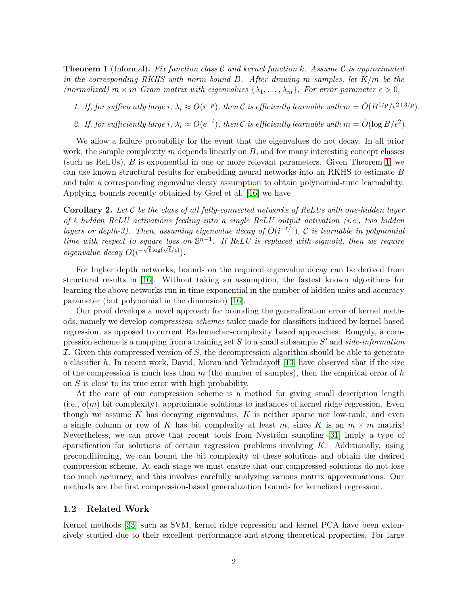<span id="page-2-0"></span>**Theorem 1** (Informal). Fix function class C and kernel function k. Assume C is approximated in the corresponding RKHS with norm bound  $B$ . After drawing m samples, let  $K/m$  be the (normalized)  $m \times m$  Gram matrix with eigenvalues  $\{\lambda_1, \ldots, \lambda_m\}$ . For error parameter  $\epsilon > 0$ ,

1. If, for sufficiently large i,  $\lambda_i \approx O(i^{-p})$ , then C is efficiently learnable with  $m = \tilde{O}(B^{1/p}/\epsilon^{2+3/p})$ .

2. If, for sufficiently large i,  $\lambda_i \approx O(e^{-i})$ , then C is efficiently learnable with  $m = \tilde{O}(\log B/\epsilon^2)$ .

We allow a failure probability for the event that the eigenvalues do not decay. In all prior work, the sample complexity  $m$  depends linearly on  $B$ , and for many interesting concept classes (such as ReLUs), B is exponential in one or more relevant parameters. Given Theorem [1,](#page-2-0) we can use known structural results for embedding neural networks into an RKHS to estimate B and take a corresponding eigenvalue decay assumption to obtain polynomial-time learnability. Applying bounds recently obtained by Goel et al. [\[16\]](#page-19-0) we have

<span id="page-2-2"></span>**Corollary 2.** Let C be the class of all fully-connected networks of ReLUs with one-hidden layer of  $\ell$  hidden ReLU activations feeding into a single ReLU output activation (i.e., two hidden layers or depth-3). Then, assuming eigenvalue decay of  $O(i^{-\ell/\epsilon})$ , C is learnable in polynomial time with respect to square loss on  $\mathbb{S}^{n-1}$ . If ReLU is replaced with sigmoid, then we require eigenvalue decay  $O(i^{-\sqrt{\ell} \log(\sqrt{\ell}/\epsilon)})$ .

For higher depth networks, bounds on the required eigenvalue decay can be derived from structural results in [\[16\]](#page-19-0). Without taking an assumption, the fastest known algorithms for learning the above networks run in time exponential in the number of hidden units and accuracy parameter (but polynomial in the dimension) [\[16\]](#page-19-0).

Our proof develops a novel approach for bounding the generalization error of kernel methods, namely we develop compression schemes tailor-made for classifiers induced by kernel-based regression, as opposed to current Rademacher-complexity based approaches. Roughly, a compression scheme is a mapping from a training set S to a small subsample S' and side-information  $I.$  Given this compressed version of  $S$ , the decompression algorithm should be able to generate a classifier h. In recent work, David, Moran and Yehudayoff  $[13]$  have observed that if the size of the compression is much less than  $m$  (the number of samples), then the empirical error of  $h$ on S is close to its true error with high probability.

At the core of our compression scheme is a method for giving small description length  $(i.e., o(m)$  bit complexity), approximate solutions to instances of kernel ridge regression. Even though we assume K has decaying eigenvalues, K is neither sparse nor low-rank, and even a single column or row of K has bit complexity at least m, since K is an  $m \times m$  matrix! Nevertheless, we can prove that recent tools from Nyström sampling [\[31\]](#page-20-4) imply a type of sparsification for solutions of certain regression problems involving  $K$ . Additionally, using preconditioning, we can bound the bit complexity of these solutions and obtain the desired compression scheme. At each stage we must ensure that our compressed solutions do not lose too much accuracy, and this involves carefully analyzing various matrix approximations. Our methods are the first compression-based generalization bounds for kernelized regression.

#### <span id="page-2-1"></span>1.2 Related Work

Kernel methods [\[33\]](#page-20-3) such as SVM, kernel ridge regression and kernel PCA have been extensively studied due to their excellent performance and strong theoretical properties. For large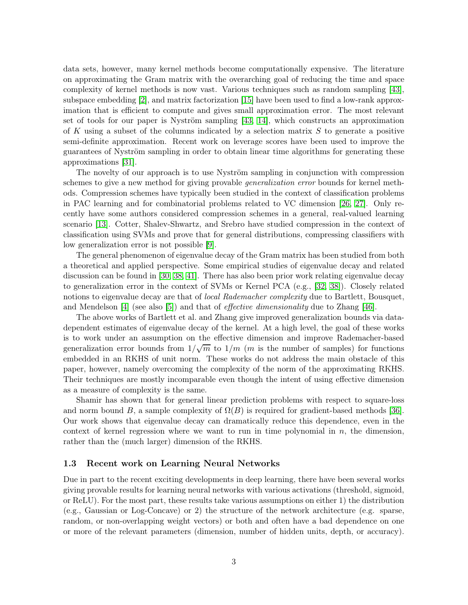data sets, however, many kernel methods become computationally expensive. The literature on approximating the Gram matrix with the overarching goal of reducing the time and space complexity of kernel methods is now vast. Various techniques such as random sampling [\[43\]](#page-20-5), subspace embedding [\[2\]](#page-18-2), and matrix factorization [\[15\]](#page-19-5) have been used to find a low-rank approximation that is efficient to compute and gives small approximation error. The most relevant set of tools for our paper is Nyström sampling [\[43,](#page-20-5) [14\]](#page-19-6), which constructs an approximation of K using a subset of the columns indicated by a selection matrix  $S$  to generate a positive semi-definite approximation. Recent work on leverage scores have been used to improve the guarantees of Nyström sampling in order to obtain linear time algorithms for generating these approximations [\[31\]](#page-20-4).

The novelty of our approach is to use Nyström sampling in conjunction with compression schemes to give a new method for giving provable generalization error bounds for kernel methods. Compression schemes have typically been studied in the context of classification problems in PAC learning and for combinatorial problems related to VC dimension [\[26,](#page-19-7) [27\]](#page-19-8). Only recently have some authors considered compression schemes in a general, real-valued learning scenario [\[13\]](#page-19-4). Cotter, Shalev-Shwartz, and Srebro have studied compression in the context of classification using SVMs and prove that for general distributions, compressing classifiers with low generalization error is not possible [\[9\]](#page-18-3).

The general phenomenon of eigenvalue decay of the Gram matrix has been studied from both a theoretical and applied perspective. Some empirical studies of eigenvalue decay and related discussion can be found in [\[30,](#page-20-6) [38,](#page-20-7) [41\]](#page-20-8). There has also been prior work relating eigenvalue decay to generalization error in the context of SVMs or Kernel PCA (e.g., [\[32,](#page-20-9) [38\]](#page-20-7)). Closely related notions to eigenvalue decay are that of *local Rademacher complexity* due to Bartlett, Bousquet, and Mendelson [\[4\]](#page-18-4) (see also [\[5\]](#page-18-5)) and that of effective dimensionality due to Zhang [\[46\]](#page-21-1).

The above works of Bartlett et al. and Zhang give improved generalization bounds via datadependent estimates of eigenvalue decay of the kernel. At a high level, the goal of these works is to work under an assumption on the effective dimension and improve Rademacher-based generalization error bounds from  $1/\sqrt{m}$  to  $1/m$  (*m* is the number of samples) for functions embedded in an RKHS of unit norm. These works do not address the main obstacle of this paper, however, namely overcoming the complexity of the norm of the approximating RKHS. Their techniques are mostly incomparable even though the intent of using effective dimension as a measure of complexity is the same.

Shamir has shown that for general linear prediction problems with respect to square-loss and norm bound B, a sample complexity of  $\Omega(B)$  is required for gradient-based methods [\[36\]](#page-20-10). Our work shows that eigenvalue decay can dramatically reduce this dependence, even in the context of kernel regression where we want to run in time polynomial in  $n$ , the dimension, rather than the (much larger) dimension of the RKHS.

#### 1.3 Recent work on Learning Neural Networks

Due in part to the recent exciting developments in deep learning, there have been several works giving provable results for learning neural networks with various activations (threshold, sigmoid, or ReLU). For the most part, these results take various assumptions on either 1) the distribution (e.g., Gaussian or Log-Concave) or 2) the structure of the network architecture (e.g. sparse, random, or non-overlapping weight vectors) or both and often have a bad dependence on one or more of the relevant parameters (dimension, number of hidden units, depth, or accuracy).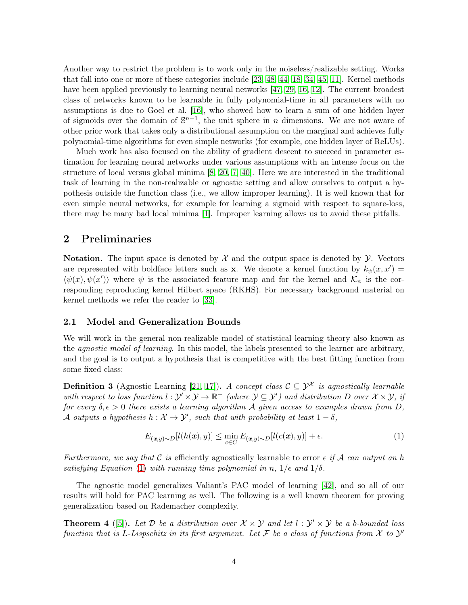Another way to restrict the problem is to work only in the noiseless/realizable setting. Works that fall into one or more of these categories include [\[23,](#page-19-9) [48,](#page-21-2) [44,](#page-20-11) [18,](#page-19-10) [34,](#page-20-12) [45,](#page-21-3) [11\]](#page-18-6). Kernel methods have been applied previously to learning neural networks [\[47,](#page-21-0) [29,](#page-20-0) [16,](#page-19-0) [12\]](#page-18-7). The current broadest class of networks known to be learnable in fully polynomial-time in all parameters with no assumptions is due to Goel et al. [\[16\]](#page-19-0), who showed how to learn a sum of one hidden layer of sigmoids over the domain of  $\mathbb{S}^{n-1}$ , the unit sphere in *n* dimensions. We are not aware of other prior work that takes only a distributional assumption on the marginal and achieves fully polynomial-time algorithms for even simple networks (for example, one hidden layer of ReLUs).

Much work has also focused on the ability of gradient descent to succeed in parameter estimation for learning neural networks under various assumptions with an intense focus on the structure of local versus global minima [\[8,](#page-18-8) [20,](#page-19-11) [7,](#page-18-9) [40\]](#page-20-13). Here we are interested in the traditional task of learning in the non-realizable or agnostic setting and allow ourselves to output a hypothesis outside the function class (i.e., we allow improper learning). It is well known that for even simple neural networks, for example for learning a sigmoid with respect to square-loss, there may be many bad local minima [\[1\]](#page-18-10). Improper learning allows us to avoid these pitfalls.

# 2 Preliminaries

**Notation.** The input space is denoted by  $\mathcal{X}$  and the output space is denoted by  $\mathcal{Y}$ . Vectors are represented with boldface letters such as **x**. We denote a kernel function by  $k_{\psi}(x, x') =$  $\langle \psi(x), \psi(x') \rangle$  where  $\psi$  is the associated feature map and for the kernel and  $\mathcal{K}_{\psi}$  is the corresponding reproducing kernel Hilbert space (RKHS). For necessary background material on kernel methods we refer the reader to [\[33\]](#page-20-3).

### 2.1 Model and Generalization Bounds

We will work in the general non-realizable model of statistical learning theory also known as the agnostic model of learning. In this model, the labels presented to the learner are arbitrary, and the goal is to output a hypothesis that is competitive with the best fitting function from some fixed class:

**Definition 3** (Agnostic Learning [\[21,](#page-19-12) [17\]](#page-19-13)). A concept class  $C \subseteq \mathcal{Y}^{\mathcal{X}}$  is agnostically learnable with respect to loss function  $l : \mathcal{Y}' \times \mathcal{Y} \to \mathbb{R}^+$  (where  $\mathcal{Y} \subseteq \mathcal{Y}'$ ) and distribution D over  $\mathcal{X} \times \mathcal{Y}$ , if for every  $\delta, \epsilon > 0$  there exists a learning algorithm A given access to examples drawn from D, A outputs a hypothesis  $h: \mathcal{X} \to \mathcal{Y}'$ , such that with probability at least  $1 - \delta$ ,

<span id="page-4-0"></span>
$$
E_{(\boldsymbol{x},y)\sim D}[l(h(\boldsymbol{x}),y)] \le \min_{c \in C} E_{(\boldsymbol{x},y)\sim D}[l(c(\boldsymbol{x}),y)] + \epsilon.
$$
 (1)

Furthermore, we say that C is efficiently agnostically learnable to error  $\epsilon$  if A can output an h satisfying Equation [\(1\)](#page-4-0) with running time polynomial in n,  $1/\epsilon$  and  $1/\delta$ .

The agnostic model generalizes Valiant's PAC model of learning [\[42\]](#page-20-14), and so all of our results will hold for PAC learning as well. The following is a well known theorem for proving generalization based on Rademacher complexity.

<span id="page-4-1"></span>**Theorem 4** ([\[5\]](#page-18-5)). Let  $D$  be a distribution over  $\mathcal{X} \times \mathcal{Y}$  and let  $l : \mathcal{Y}' \times \mathcal{Y}$  be a b-bounded loss function that is L-Lispschitz in its first argument. Let  $\mathcal F$  be a class of functions from  $\mathcal X$  to  $\mathcal Y'$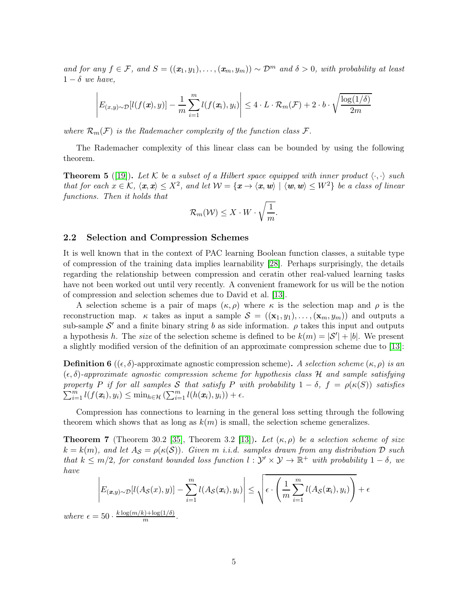and for any  $f \in \mathcal{F}$ , and  $S = ((x_1, y_1), \ldots, (x_m, y_m)) \sim \mathcal{D}^m$  and  $\delta > 0$ , with probability at least  $1 - \delta$  we have,

$$
\left| E_{(x,y)\sim\mathcal{D}}[l(f(\pmb{x}),y)] - \frac{1}{m}\sum_{i=1}^m l(f(\pmb{x}_i),y_i) \right| \leq 4 \cdot L \cdot \mathcal{R}_m(\mathcal{F}) + 2 \cdot b \cdot \sqrt{\frac{\log(1/\delta)}{2m}}
$$

where  $\mathcal{R}_m(\mathcal{F})$  is the Rademacher complexity of the function class  $\mathcal{F}$ .

The Rademacher complexity of this linear class can be bounded by using the following theorem.

<span id="page-5-0"></span>**Theorem 5** ([\[19\]](#page-19-14)). Let K be a subset of a Hilbert space equipped with inner product  $\langle \cdot, \cdot \rangle$  such that for each  $x \in \mathcal{K}$ ,  $\langle x, x \rangle \leq X^2$ , and let  $\mathcal{W} = \{x \to \langle x, w \rangle \mid \langle w, w \rangle \leq W^2\}$  be a class of linear functions. Then it holds that

$$
\mathcal{R}_m(\mathcal{W}) \leq X \cdot W \cdot \sqrt{\frac{1}{m}}.
$$

#### 2.2 Selection and Compression Schemes

 $where$ 

It is well known that in the context of PAC learning Boolean function classes, a suitable type of compression of the training data implies learnability [\[28\]](#page-19-15). Perhaps surprisingly, the details regarding the relationship between compression and ceratin other real-valued learning tasks have not been worked out until very recently. A convenient framework for us will be the notion of compression and selection schemes due to David et al. [\[13\]](#page-19-4).

A selection scheme is a pair of maps  $(\kappa, \rho)$  where  $\kappa$  is the selection map and  $\rho$  is the reconstruction map.  $\kappa$  takes as input a sample  $\mathcal{S} = ((\mathbf{x}_1, y_1), \dots, (\mathbf{x}_m, y_m))$  and outputs a sub-sample  $\mathcal{S}'$  and a finite binary string b as side information.  $\rho$  takes this input and outputs a hypothesis h. The *size* of the selection scheme is defined to be  $k(m) = |\mathcal{S}'| + |b|$ . We present a slightly modified version of the definition of an approximate compression scheme due to [\[13\]](#page-19-4):

**Definition 6** (( $\epsilon$ ,  $\delta$ )-approximate agnostic compression scheme). A selection scheme ( $\kappa$ ,  $\rho$ ) is an  $(\epsilon, \delta)$ -approximate agnostic compression scheme for hypothesis class H and sample satisfying  $\sum_{i=1}^m l(f(\mathbf{x}_i), y_i) \leq \min_{h \in \mathcal{H}} (\sum_{i=1}^m l(h(\mathbf{x}_i), y_i)) + \epsilon.$ property P if for all samples S that satisfy P with probability  $1 - \delta$ ,  $f = \rho(\kappa(S))$  satisfies

Compression has connections to learning in the general loss setting through the following theorem which shows that as long as  $k(m)$  is small, the selection scheme generalizes.

<span id="page-5-1"></span>**Theorem 7** (Theorem 30.2 [\[35\]](#page-20-15), Theorem 3.2 [\[13\]](#page-19-4)). Let  $(\kappa, \rho)$  be a selection scheme of size  $k = k(m)$ , and let  $A_{\mathcal{S}} = \rho(\kappa(\mathcal{S}))$ . Given m i.i.d. samples drawn from any distribution  $\mathcal{D}$  such that  $k \leq m/2$ , for constant bounded loss function  $l : \mathcal{Y}' \times \mathcal{Y} \to \mathbb{R}^+$  with probability  $1 - \delta$ , we have

$$
\left| E_{(\boldsymbol{x},y) \sim \mathcal{D}}[l(A_{\mathcal{S}}(x), y)] - \sum_{i=1}^{m} l(A_{\mathcal{S}}(\boldsymbol{x}_i), y_i) \right| \leq \sqrt{\epsilon \cdot \left( \frac{1}{m} \sum_{i=1}^{m} l(A_{\mathcal{S}}(\boldsymbol{x}_i), y_i) \right) + \epsilon}
$$
  

$$
\epsilon = 50 \cdot \frac{k \log(m/k) + \log(1/\delta)}{m}.
$$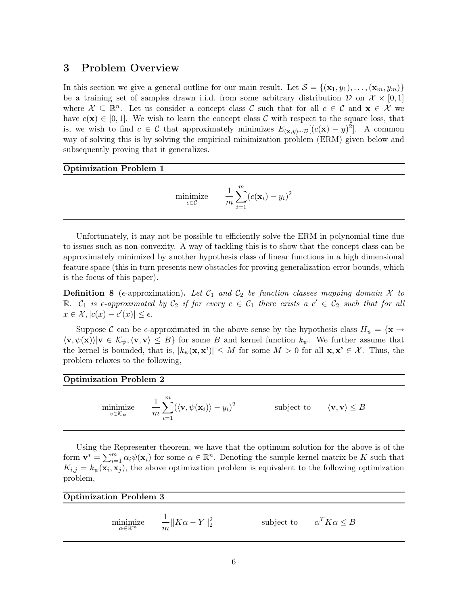### 3 Problem Overview

In this section we give a general outline for our main result. Let  $S = \{(\mathbf{x}_1, y_1), \ldots, (\mathbf{x}_m, y_m)\}\$ be a training set of samples drawn i.i.d. from some arbitrary distribution D on  $\mathcal{X} \times [0,1]$ where  $\mathcal{X} \subseteq \mathbb{R}^n$ . Let us consider a concept class C such that for all  $c \in \mathcal{C}$  and  $\mathbf{x} \in \mathcal{X}$  we have  $c(\mathbf{x}) \in [0,1]$ . We wish to learn the concept class C with respect to the square loss, that is, we wish to find  $c \in \mathcal{C}$  that approximately minimizes  $E_{(\mathbf{x},y)\sim\mathcal{D}}[(c(\mathbf{x})-y)^2]$ . A common way of solving this is by solving the empirical minimization problem (ERM) given below and subsequently proving that it generalizes.

#### Optimization Problem 1

$$
\text{minimize} \qquad \frac{1}{m} \sum_{i=1}^{m} (c(\mathbf{x}_i) - y_i)^2
$$

Unfortunately, it may not be possible to efficiently solve the ERM in polynomial-time due to issues such as non-convexity. A way of tackling this is to show that the concept class can be approximately minimized by another hypothesis class of linear functions in a high dimensional feature space (this in turn presents new obstacles for proving generalization-error bounds, which is the focus of this paper).

**Definition 8** ( $\epsilon$ -approximation). Let  $\mathcal{C}_1$  and  $\mathcal{C}_2$  be function classes mapping domain X to R.  $C_1$  is  $\epsilon$ -approximated by  $C_2$  if for every  $c \in C_1$  there exists a  $c' \in C_2$  such that for all  $x \in \mathcal{X}, |c(x) - c'(x)| \leq \epsilon.$ 

Suppose C can be  $\epsilon$ -approximated in the above sense by the hypothesis class  $H_{\psi} = {\mathbf{x} \to \mathbf{z}}$  $\langle v, \psi(x) \rangle | v \in \mathcal{K}_{\psi}, \langle v, v \rangle \leq B$  for some B and kernel function  $k_{\psi}$ . We further assume that the kernel is bounded, that is,  $|k_{\psi}(\mathbf{x}, \mathbf{x}')| \leq M$  for some  $M > 0$  for all  $\mathbf{x}, \mathbf{x}' \in \mathcal{X}$ . Thus, the problem relaxes to the following,

#### Optimization Problem 2

minimize  $v \in \mathcal{K}_{\psi}$ 1 m  $\sum_{ }^{m}$  $i=1$  $(\langle \mathbf{v}, \psi(\mathbf{x}_i) \rangle - y_i)^2$ subject to  $\langle v, v \rangle \leq B$ 

Using the Representer theorem, we have that the optimum solution for the above is of the form  $\mathbf{v}^* = \sum_{i=1}^m \alpha_i \psi(\mathbf{x}_i)$  for some  $\alpha \in \mathbb{R}^n$ . Denoting the sample kernel matrix be K such that  $K_{i,j} = k_{\psi}(\mathbf{x}_i, \mathbf{x}_j)$ , the above optimization problem is equivalent to the following optimization problem,

### <span id="page-6-0"></span>Optimization Problem 3

minimize  $\alpha \in \mathbb{R}^m$ 1  $\frac{1}{m}||K\alpha - Y||_2^2$ subject to  $\alpha^T K \alpha \leq B$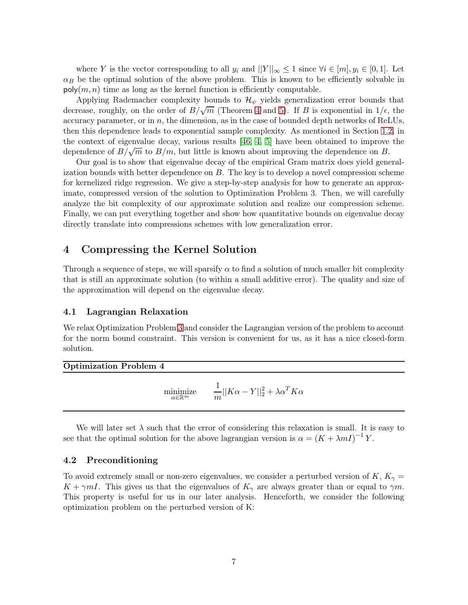where Y is the vector corresponding to all  $y_i$  and  $||Y||_{\infty} \leq 1$  since  $\forall i \in [m], y_i \in [0, 1]$ . Let  $\alpha_B$  be the optimal solution of the above problem. This is known to be efficiently solvable in  $\mathsf{poly}(m, n)$  time as long as the kernel function is efficiently computable.

Applying Rademacher complexity bounds to  $\mathcal{H}_{\psi}$  yields generalization error bounds that decrease, roughly, on the order of  $B/\sqrt{m}$  (Theorem [4](#page-4-1) and [5\)](#page-5-0). If B is exponential in  $1/\epsilon$ , the accuracy parameter, or in  $n$ , the dimension, as in the case of bounded depth networks of ReLUs, then this dependence leads to exponential sample complexity. As mentioned in Section [1.2,](#page-2-1) in the context of eigenvalue decay, various results [\[46,](#page-21-1) [4,](#page-18-4) [5\]](#page-18-5) have been obtained to improve the dependence of  $B/\sqrt{m}$  to  $B/m$ , but little is known about improving the dependence on B.

Our goal is to show that eigenvalue decay of the empirical Gram matrix does yield generalization bounds with better dependence on  $B$ . The key is to develop a novel compression scheme for kernelized ridge regression. We give a step-by-step analysis for how to generate an approximate, compressed version of the solution to Optimization Problem 3. Then, we will carefully analyze the bit complexity of our approximate solution and realize our compression scheme. Finally, we can put everything together and show how quantitative bounds on eigenvalue decay directly translate into compressions schemes with low generalization error.

# 4 Compressing the Kernel Solution

Through a sequence of steps, we will sparsify  $\alpha$  to find a solution of much smaller bit complexity that is still an approximate solution (to within a small additive error). The quality and size of the approximation will depend on the eigenvalue decay.

### 4.1 Lagrangian Relaxation

We relax Optimization Problem [3](#page-6-0) and consider the Lagrangian version of the problem to account for the norm bound constraint. This version is convenient for us, as it has a nice closed-form solution.

Optimization Problem 4

$$
\underset{\alpha \in \mathbb{R}^m}{\text{minimize}} \qquad \frac{1}{m} ||K\alpha - Y||_2^2 + \lambda \alpha^T K \alpha
$$

We will later set  $\lambda$  such that the error of considering this relaxation is small. It is easy to see that the optimal solution for the above lagrangian version is  $\alpha = (K + \lambda mI)^{-1}Y$ .

### 4.2 Preconditioning

To avoid extremely small or non-zero eigenvalues, we consider a perturbed version of K,  $K_{\gamma}$  =  $K + \gamma mI$ . This gives us that the eigenvalues of  $K_{\gamma}$  are always greater than or equal to  $\gamma m$ . This property is useful for us in our later analysis. Henceforth, we consider the following optimization problem on the perturbed version of K: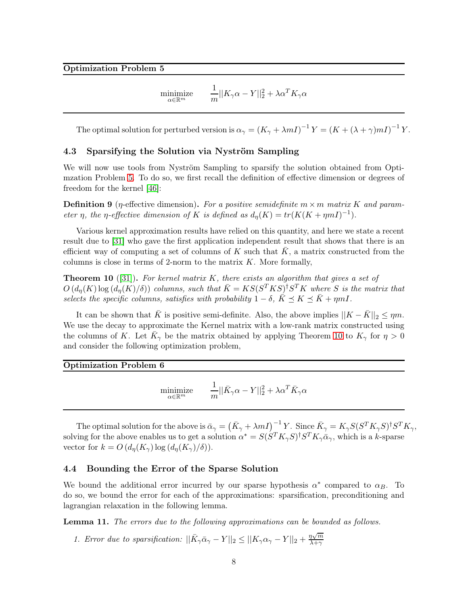$$
\underset{\alpha \in \mathbb{R}^m}{\text{minimize}} \qquad \frac{1}{m} ||K_{\gamma}\alpha - Y||_2^2 + \lambda \alpha^T K_{\gamma} \alpha
$$

<span id="page-8-0"></span>The optimal solution for perturbed version is  $\alpha_{\gamma} = (K_{\gamma} + \lambda mI)^{-1} Y = (K + (\lambda + \gamma) mI)^{-1} Y$ .

#### 4.3 Sparsifying the Solution via Nyström Sampling

We will now use tools from Nyström Sampling to sparsify the solution obtained from Optimzation Problem [5.](#page-8-0) To do so, we first recall the definition of effective dimension or degrees of freedom for the kernel [\[46\]](#page-21-1):

**Definition 9** (*η*-effective dimension). For a positive semidefinite  $m \times m$  matrix K and parameter η, the η-effective dimension of K is defined as  $d_n(K) = tr(K(K+mnI)^{-1}).$ 

Various kernel approximation results have relied on this quantity, and here we state a recent result due to [\[31\]](#page-20-4) who gave the first application independent result that shows that there is an efficient way of computing a set of columns of K such that  $\overline{K}$ , a matrix constructed from the columns is close in terms of 2-norm to the matrix  $K$ . More formally,

<span id="page-8-1"></span>**Theorem 10** ([\[31\]](#page-20-4)). For kernel matrix K, there exists an algorithm that gives a set of  $O(d_n(K) \log (d_n(K)/\delta))$  columns, such that  $\bar{K} = KS(S^T K S)^{\dagger} S^T K$  where S is the matrix that selects the specific columns, satisfies with probability  $1 - \delta$ ,  $\bar{K} \preceq K \preceq \bar{K} + \eta mI$ .

It can be shown that  $\bar{K}$  is positive semi-definite. Also, the above implies  $||K - \bar{K}||_2 \leq \eta m$ . We use the decay to approximate the Kernel matrix with a low-rank matrix constructed using the columns of K. Let  $\bar{K}_{\gamma}$  be the matrix obtained by applying Theorem [10](#page-8-1) to  $K_{\gamma}$  for  $\eta > 0$ and consider the following optimization problem,

<span id="page-8-2"></span>Optimization Problem 6

$$
\underset{\alpha \in \mathbb{R}^m}{\text{minimize}} \qquad \frac{1}{m} ||\bar{K}_\gamma \alpha - Y||_2^2 + \lambda \alpha^T \bar{K}_\gamma \alpha
$$

The optimal solution for the above is  $\bar{\alpha}_{\gamma} = (\bar{K}_{\gamma} + \lambda mI)^{-1}Y$ . Since  $\bar{K}_{\gamma} = K_{\gamma}S(S^TK_{\gamma}S)^{\dagger}S^TK_{\gamma}$ , solving for the above enables us to get a solution  $\alpha^* = S(S^T K_\gamma S)^{\dagger} S^T K_\gamma \bar{\alpha}_\gamma$ , which is a k-sparse vector for  $k = O(d_n(K_\gamma) \log (d_n(K_\gamma)/\delta)).$ 

#### 4.4 Bounding the Error of the Sparse Solution

We bound the additional error incurred by our sparse hypothesis  $\alpha^*$  compared to  $\alpha_B$ . To do so, we bound the error for each of the approximations: sparsification, preconditioning and lagrangian relaxation in the following lemma.

Lemma 11. The errors due to the following approximations can be bounded as follows.

1. Error due to sparsification:  $||\bar{K}_{\gamma}\bar{\alpha}_{\gamma} - Y||_2 \leq ||K_{\gamma}\alpha_{\gamma} - Y||_2 + \frac{\eta\sqrt{m}}{\lambda + \gamma}$  $_{\lambda+\gamma}$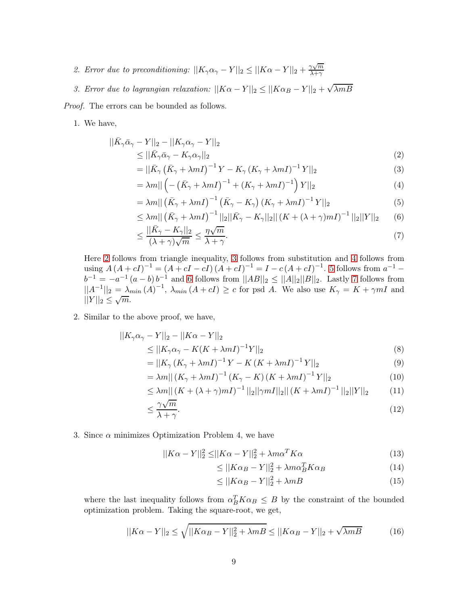2. Error due to preconditioning:  $||K_{\gamma}\alpha_{\gamma} - Y||_2 \le ||K\alpha - Y||_2 + \frac{\gamma\sqrt{m}}{\lambda + \gamma}$  $_{\lambda+\gamma}$ 

3. Error due to lagrangian relaxation:  $||K\alpha - Y||_2 \le ||K\alpha_B - Y||_2 + \sqrt{\lambda mB}$ 

Proof. The errors can be bounded as follows.

1. We have,

$$
\|\bar{K}_{\gamma}\bar{\alpha}_{\gamma} - Y\|_{2} - \|K_{\gamma}\alpha_{\gamma} - Y\|_{2}
$$
  
\n
$$
\leq \|\bar{K}_{\gamma}\bar{\alpha}_{\gamma} - K_{\gamma}\alpha_{\gamma}\|_{2}
$$
\n(2)

<span id="page-9-1"></span><span id="page-9-0"></span>
$$
=||\bar{K}_{\gamma}\left(\bar{K}_{\gamma}+\lambda mI\right)^{-1}Y-K_{\gamma}\left(K_{\gamma}+\lambda mI\right)^{-1}Y||_{2}
$$
\n(3)

<span id="page-9-3"></span><span id="page-9-2"></span>
$$
= \lambda m \|\left(-\left(\bar{K}_{\gamma} + \lambda m I\right)^{-1} + \left(K_{\gamma} + \lambda m I\right)^{-1}\right)Y\|_2\tag{4}
$$

$$
= \lambda m \|\left(\bar{K}_{\gamma} + \lambda mI\right)^{-1} \left(\bar{K}_{\gamma} - K_{\gamma}\right) \left(K_{\gamma} + \lambda mI\right)^{-1} Y\|_{2} \tag{5}
$$

$$
\leq \lambda m || (\bar{K}_{\gamma} + \lambda m I)^{-1} ||_2 || \bar{K}_{\gamma} - K_{\gamma} ||_2 || (K + (\lambda + \gamma) m I)^{-1} ||_2 ||Y||_2 \qquad (6)
$$

<span id="page-9-5"></span><span id="page-9-4"></span>
$$
\leq \frac{||\bar{K}_{\gamma} - K_{\gamma}||_2}{(\lambda + \gamma)\sqrt{m}} \leq \frac{\eta\sqrt{m}}{\lambda + \gamma}.
$$
\n(7)

Here [2](#page-9-0) follows from triangle inequality, [3](#page-9-1) follows from substitution and [4](#page-9-2) follows from using  $A(A + cI)^{-1} = (A + cI - cI)(A + cI)^{-1} = I - c(A + cI)^{-1}$ . [5](#page-9-3) follows from  $a^{-1}$  –  $b^{-1} = -a^{-1}(a - b) b^{-1}$  and [6](#page-9-4) follows from  $||AB||_2 \le ||A||_2||B||_2$ . Lastly [7](#page-9-5) follows from  $||A^{-1}||_2 = \lambda_{min}(A)^{-1}$ ,  $\lambda_{min}(A + cI) \ge c$  for psd A. We also use  $K_\gamma = K + \gamma mI$  and  $||Y||_2 \le \sqrt{m}$ .

2. Similar to the above proof, we have,

$$
||K_{\gamma}\alpha_{\gamma} - Y||_2 - ||K\alpha - Y||_2
$$
  
\n
$$
\leq ||K_{\gamma}\alpha_{\gamma} - K(K + \lambda mI)^{-1}Y||_2
$$
\n(8)

$$
=||K_{\infty}(K_{\infty} + \lambda mI)^{-1}Y - K(K + \lambda mI)^{-1}Y||_{2}
$$
\n(9)

$$
=||K_{\gamma}(K_{\gamma} + \lambda mI)^{-1}Y - K(K + \lambda mI)^{-1}Y||_2
$$
\n
$$
= \lambda m||(K_{\gamma} + \lambda mI)^{-1}(K_{\gamma} - K)(K + \lambda mI)^{-1}Y||_2
$$
\n(9)

$$
= \lambda m || (K_{\gamma} + \lambda mI)^{-1} (K_{\gamma} - K) (K + \lambda mI)^{-1} Y ||_2
$$
\n
$$
< \lambda m || (K + (\lambda + \gamma)mI)^{-1} ||_2 ||\gamma mI||_2 || (K + \lambda mI)^{-1} ||_2 ||Y||_2
$$
\n(11)

$$
\leq \lambda m ||(K + (\lambda + \gamma)mI)^{-1}||_2||\gamma mI||_2||(K + \lambda mI)^{-1}||_2||Y||_2 \tag{11}
$$
  

$$
< \frac{\gamma \sqrt{m}}{m}
$$

$$
\leq \frac{\gamma \sqrt{m}}{\lambda + \gamma}.\tag{12}
$$

#### 3. Since  $\alpha$  minimizes Optimization Problem 4, we have

$$
||K\alpha - Y||_2^2 \le ||K\alpha - Y||_2^2 + \lambda m\alpha^T K\alpha \tag{13}
$$

$$
\leq ||K\alpha_B - Y||_2^2 + \lambda m \alpha_B^T K \alpha_B \tag{14}
$$

$$
\leq ||K\alpha_B - Y||_2^2 + \lambda mB \tag{15}
$$

where the last inequality follows from  $\alpha_B^T K \alpha_B \leq B$  by the constraint of the bounded optimization problem. Taking the square-root, we get,

$$
||K\alpha - Y||_2 \le \sqrt{||K\alpha_B - Y||_2^2 + \lambda m} \le ||K\alpha_B - Y||_2 + \sqrt{\lambda m} \tag{16}
$$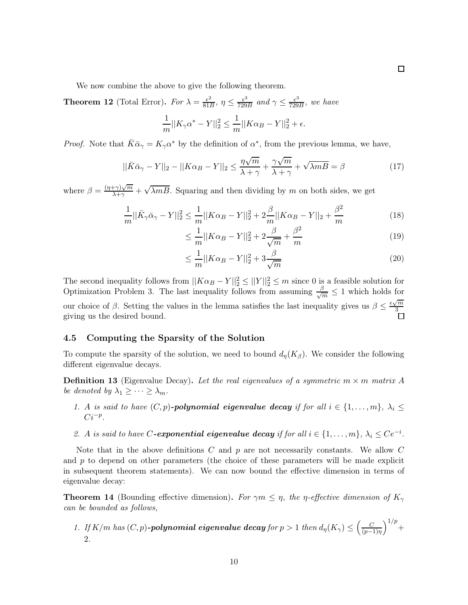We now combine the above to give the following theorem.

<span id="page-10-0"></span>**Theorem 12** (Total Error). For  $\lambda = \frac{\epsilon^2}{811}$  $\frac{\epsilon^2}{81B}, \eta \leq \frac{\epsilon^3}{729}$  $\frac{\epsilon^3}{729B}$  and  $\gamma \le \frac{\epsilon^3}{729}$  $\frac{\epsilon^3}{729B}$ , we have  $\frac{1}{m}||K_{\gamma}\alpha^* - Y||_2^2 \leq \frac{1}{m}||K\alpha_B - Y||_2^2$ 

$$
\frac{1}{m}||K_{\gamma}\alpha^* - Y||_2^2 \le \frac{1}{m}||K\alpha_B - Y||_2^2 + \epsilon.
$$

*Proof.* Note that  $\bar{K}\bar{\alpha}_{\gamma} = K_{\gamma}\alpha^*$  by the definition of  $\alpha^*$ , from the previous lemma, we have,

$$
||\bar{K}\bar{\alpha}_{\gamma} - Y||_2 - ||K\alpha_B - Y||_2 \le \frac{\eta\sqrt{m}}{\lambda + \gamma} + \frac{\gamma\sqrt{m}}{\lambda + \gamma} + \sqrt{\lambda m} = \beta
$$
\n(17)

where  $\beta = \frac{(\eta + \gamma)\sqrt{m}}{\lambda + \gamma} + \sqrt{\lambda mB}$ . Squaring and then dividing by m on both sides, we get

$$
\frac{1}{m}||\bar{K}_{\gamma}\bar{\alpha}_{\gamma} - Y||_2^2 \le \frac{1}{m}||K\alpha_B - Y||_2^2 + 2\frac{\beta}{m}||K\alpha_B - Y||_2 + \frac{\beta^2}{m}
$$
(18)

$$
\leq \frac{1}{m}||K\alpha_B - Y||_2^2 + 2\frac{\beta}{\sqrt{m}} + \frac{\beta^2}{m}
$$
\n(19)

$$
\leq \frac{1}{m}||K\alpha_B - Y||_2^2 + 3\frac{\beta}{\sqrt{m}}\tag{20}
$$

The second inequality follows from  $||K\alpha_B - Y||_2^2 \le ||Y||_2^2 \le m$  since 0 is a feasible solution for Optimization Problem 3. The last inequality follows from assuming  $\frac{\beta}{\sqrt{m}} \leq 1$  which holds for our choice of  $\beta$ . Setting the values in the lemma satisfies the last inequality gives us  $\beta \leq \frac{\epsilon \sqrt{m}}{3}$ 3 giving us the desired bound.

### 4.5 Computing the Sparsity of the Solution

To compute the sparsity of the solution, we need to bound  $d_{\eta}(K_{\beta})$ . We consider the following different eigenvalue decays.

**Definition 13** (Eigenvalue Decay). Let the real eigenvalues of a symmetric  $m \times m$  matrix A be denoted by  $\lambda_1 \geq \cdots \geq \lambda_m$ .

- 1. A is said to have  $(C, p)$ -polynomial eigenvalue decay if for all  $i \in \{1, ..., m\}$ ,  $\lambda_i \leq$  $Ci^{-p}$ .
- 2. A is said to have C-exponential eigenvalue decay if for all  $i \in \{1, \ldots, m\}$ ,  $\lambda_i \leq Ce^{-i}$ .

Note that in the above definitions  $C$  and  $p$  are not necessarily constants. We allow  $C$ and  $p$  to depend on other parameters (the choice of these parameters will be made explicit in subsequent theorem statements). We can now bound the effective dimension in terms of eigenvalue decay:

<span id="page-10-1"></span>**Theorem 14** (Bounding effective dimension). For  $\gamma m \leq \eta$ , the *η*-effective dimension of  $K_{\gamma}$ can be bounded as follows,

1. If  $K/m$  has  $(C, p)$ -polynomial eigenvalue decay for  $p > 1$  then  $d_{\eta}(K_{\gamma}) \leq \left(\frac{C}{(p-1)^{2}}\right)$ (p−1)η  $1/p$  + 2.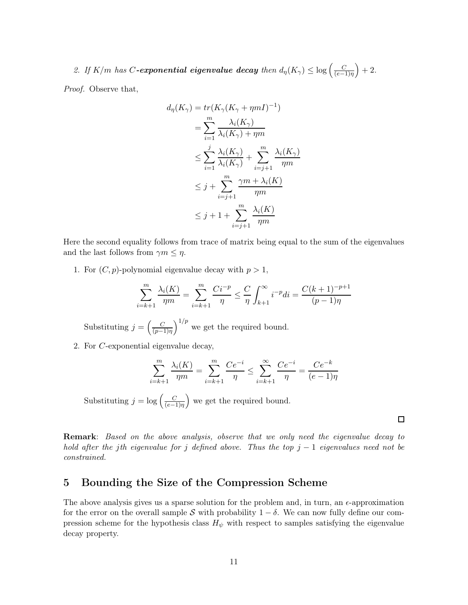2. If  $K/m$  has C-exponential eigenvalue decay then  $d_{\eta}(K_{\gamma}) \leq \log \left(\frac{C}{(e-1)^{n}}\right)$ (e−1)η  $+ 2.$ 

Proof. Observe that,

$$
d_{\eta}(K_{\gamma}) = tr(K_{\gamma}(K_{\gamma} + \eta mI)^{-1})
$$
  
= 
$$
\sum_{i=1}^{m} \frac{\lambda_{i}(K_{\gamma})}{\lambda_{i}(K_{\gamma}) + \eta m}
$$
  

$$
\leq \sum_{i=1}^{j} \frac{\lambda_{i}(K_{\gamma})}{\lambda_{i}(K_{\gamma})} + \sum_{i=j+1}^{m} \frac{\lambda_{i}(K_{\gamma})}{\eta m}
$$
  

$$
\leq j + \sum_{i=j+1}^{m} \frac{\gamma m + \lambda_{i}(K)}{\eta m}
$$
  

$$
\leq j + 1 + \sum_{i=j+1}^{m} \frac{\lambda_{i}(K)}{\eta m}
$$

Here the second equality follows from trace of matrix being equal to the sum of the eigenvalues and the last follows from  $\gamma m \leq \eta$ .

1. For  $(C, p)$ -polynomial eigenvalue decay with  $p > 1$ ,

$$
\sum_{i=k+1}^{m} \frac{\lambda_i(K)}{\eta m} = \sum_{i=k+1}^{m} \frac{Ci^{-p}}{\eta} \le \frac{C}{\eta} \int_{k+1}^{\infty} i^{-p} di = \frac{C(k+1)^{-p+1}}{(p-1)\eta}
$$

Substituting  $j = \left(\frac{C}{(n-1)}\right)$ (p−1)η  $\int_0^{1/p}$  we get the required bound.

2. For C-exponential eigenvalue decay,

$$
\sum_{i=k+1}^{m} \frac{\lambda_i(K)}{\eta m} = \sum_{i=k+1}^{m} \frac{Ce^{-i}}{\eta} \le \sum_{i=k+1}^{\infty} \frac{Ce^{-i}}{\eta} = \frac{Ce^{-k}}{(e-1)\eta}
$$

Substituting  $j = \log \left( \frac{C}{\epsilon - 1} \right)$ (e−1)η we get the required bound.

 $\Box$ 

Remark: Based on the above analysis, observe that we only need the eigenvalue decay to hold after the jth eigenvalue for j defined above. Thus the top  $j - 1$  eigenvalues need not be constrained.

# 5 Bounding the Size of the Compression Scheme

The above analysis gives us a sparse solution for the problem and, in turn, an  $\epsilon$ -approximation for the error on the overall sample S with probability  $1 - \delta$ . We can now fully define our compression scheme for the hypothesis class  $H_{\psi}$  with respect to samples satisfying the eigenvalue decay property.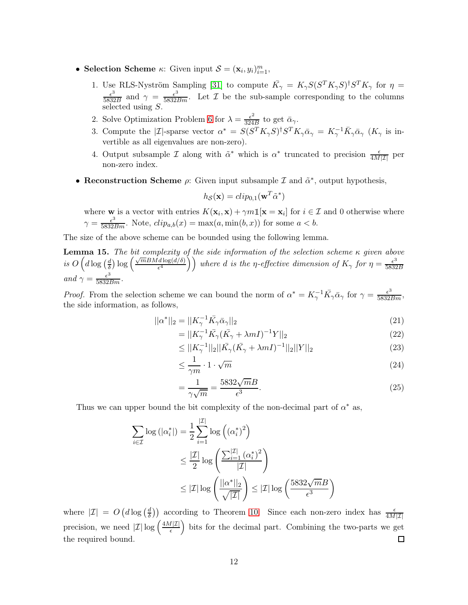- Selection Scheme  $\kappa$ : Given input  $S = (\mathbf{x}_i, y_i)_{i=1}^m$ ,
	- 1. Use RLS-Nyström Sampling [\[31\]](#page-20-4) to compute  $\bar{K}_{\gamma} = K_{\gamma} S (S^{T} K_{\gamma} S)^{\dagger} S^{T} K_{\gamma}$  for  $\eta =$  $\epsilon^3$  $\frac{\epsilon^3}{5832B}$  and  $\gamma = \frac{\epsilon^3}{5832Bm}$ . Let  $\mathcal I$  be the sub-sample corresponding to the columns selected using  $S$ .
	- 2. Solve Optimization Problem [6](#page-8-2) for  $\lambda = \frac{\epsilon^2}{324}$  $rac{\epsilon^2}{324B}$  to get  $\bar{\alpha}_{\gamma}$ .
	- 3. Compute the |*I*|-sparse vector  $\alpha^* = S(S^T K_\gamma S)^{\dagger} S^T K_\gamma \bar{\alpha}_\gamma = K_\gamma^{-1} \bar{K}_\gamma \bar{\alpha}_\gamma$  ( $K_\gamma$  is invertible as all eigenvalues are non-zero).
	- 4. Output subsample  $\mathcal I$  along with  $\tilde{\alpha}^*$  which is  $\alpha^*$  truncated to precision  $\frac{\epsilon}{4M|\mathcal I|}$  per non-zero index.
- Reconstruction Scheme  $\rho$ : Given input subsample  $\mathcal I$  and  $\tilde{\alpha}^*$ , output hypothesis,

$$
h_{\mathcal{S}}(\mathbf{x}) = clip_{0,1}(\mathbf{w}^T \tilde{\alpha}^*)
$$

where **w** is a vector with entries  $K(\mathbf{x}_i, \mathbf{x}) + \gamma m \mathbb{1}[\mathbf{x} = \mathbf{x}_i]$  for  $i \in \mathcal{I}$  and 0 otherwise where  $\gamma = \frac{\epsilon^3}{5832Bm}$ . Note,  $clip_{a,b}(x) = \max(a, \min(b, x))$  for some  $a < b$ .

The size of the above scheme can be bounded using the following lemma.

**Lemma 15.** The bit complexity of the side information of the selection scheme  $\kappa$  given above is  $O\left(d\log\left(\frac{d}{\delta}\right)\right)$  $\frac{d}{\delta}$ )  $\log \left( \frac{\sqrt{m} B M d \log(d/\delta)}{\epsilon^4} \right)$  $\left(\frac{d \log(d/\delta)}{\epsilon^4}\right)$  where d is the  $\eta$ -effective dimension of  $K_\gamma$  for  $\eta = \frac{\epsilon^3}{5832}$ 5832B and  $\gamma = \frac{\epsilon^3}{5832Bm}$ .

*Proof.* From the selection scheme we can bound the norm of  $\alpha^* = K_{\gamma}^{-1} \bar{K}_{\gamma} \bar{\alpha}_{\gamma}$  for  $\gamma = \frac{\epsilon^3}{5832Bm}$ , the side information, as follows,

$$
||\alpha^*||_2 = ||K_{\gamma}^{-1}\bar{K}_{\gamma}\bar{\alpha}_{\gamma}||_2
$$
\n(21)

$$
=||K_{\gamma}^{-1}\bar{K}_{\gamma}(\bar{K}_{\gamma}+\lambda mI)^{-1}Y||_2\tag{22}
$$

$$
\leq ||K_{\gamma}^{-1}||_2||\bar{K}_{\gamma}(\bar{K}_{\gamma} + \lambda mI)^{-1}||_2||Y||_2 \tag{23}
$$

$$
\leq \frac{1}{\gamma m} \cdot 1 \cdot \sqrt{m} \tag{24}
$$

$$
=\frac{1}{\gamma\sqrt{m}}=\frac{5832\sqrt{m}B}{\epsilon^3}.
$$
\n(25)

Thus we can upper bound the bit complexity of the non-decimal part of  $\alpha^*$  as,

$$
\sum_{i \in \mathcal{I}} \log \left( |\alpha_i^*| \right) = \frac{1}{2} \sum_{i=1}^{|\mathcal{I}|} \log \left( (\alpha_i^*)^2 \right)
$$
  

$$
\leq \frac{|\mathcal{I}|}{2} \log \left( \frac{\sum_{i=1}^{|\mathcal{I}|} (\alpha_i^*)^2}{|\mathcal{I}|} \right)
$$
  

$$
\leq |\mathcal{I}| \log \left( \frac{||\alpha^*||_2}{\sqrt{|\mathcal{I}|}} \right) \leq |\mathcal{I}| \log \left( \frac{5832\sqrt{m}B}{\epsilon^3} \right)
$$

where  $|\mathcal{I}| = O\left(d \log\left(\frac{d}{\delta}\right)\right)$  $\frac{d}{d}$ ) according to Theorem [10.](#page-8-1) Since each non-zero index has  $\frac{\epsilon}{4M|\mathcal{I}|}$ precision, we need  $|\mathcal{I}| \log \left( \frac{4M|\mathcal{I}|}{\epsilon} \right)$  bits for the decimal part. Combining the two-parts we get the required bound.  $\Box$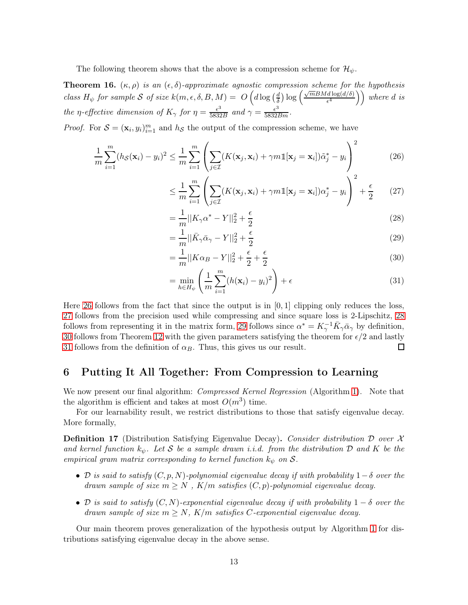The following theorem shows that the above is a compression scheme for  $\mathcal{H}_{\psi}$ .

<span id="page-13-6"></span>**Theorem 16.**  $(\kappa, \rho)$  is an  $(\epsilon, \delta)$ -approximate agnostic compression scheme for the hypothesis class  $H_{\psi}$  for sample S of size  $k(m, \epsilon, \delta, B, M) = O\left(d \log\left(\frac{d}{\delta}\right)\right)$  $\frac{d}{\delta}$ ) log  $\left(\frac{\sqrt{m}BMd\log(d/\delta)}{\epsilon^4}\right)$  $\left(\frac{d \log(d/\delta)}{\epsilon^4}\right)$  where d is the *η*-effective dimension of  $K_{\gamma}$  for  $\eta = \frac{\epsilon^3}{5832}$  $\frac{\epsilon^3}{5832B}$  and  $\gamma = \frac{\epsilon^3}{5832Bm}$ .

*Proof.* For  $S = (\mathbf{x}_i, y_i)_{i=1}^m$  and  $h_S$  the output of the compression scheme, we have

$$
\frac{1}{m}\sum_{i=1}^{m}(h_{\mathcal{S}}(\mathbf{x}_{i})-y_{i})^{2} \leq \frac{1}{m}\sum_{i=1}^{m}\left(\sum_{j\in\mathcal{I}}(K(\mathbf{x}_{j},\mathbf{x}_{i})+\gamma m\mathbb{1}[\mathbf{x}_{j}=\mathbf{x}_{i}])\tilde{\alpha}_{j}^{*}-y_{i}\right)^{2}
$$
(26)

<span id="page-13-1"></span><span id="page-13-0"></span>
$$
\leq \frac{1}{m} \sum_{i=1}^{m} \left( \sum_{j \in \mathcal{I}} (K(\mathbf{x}_j, \mathbf{x}_i) + \gamma m \mathbb{1}[\mathbf{x}_j = \mathbf{x}_i]) \alpha_j^* - y_i \right)^2 + \frac{\epsilon}{2} \tag{27}
$$

<span id="page-13-2"></span>
$$
=\frac{1}{m}||K_{\gamma}\alpha^{*} - Y||_{2}^{2} + \frac{\epsilon}{2}
$$
\n(28)

<span id="page-13-4"></span><span id="page-13-3"></span>
$$
=\frac{1}{m}||\bar{K}_{\gamma}\bar{\alpha}_{\gamma} - Y||_2^2 + \frac{\epsilon}{2}
$$
\n(29)

$$
= \frac{1}{m} ||K\alpha_B - Y||_2^2 + \frac{\epsilon}{2} + \frac{\epsilon}{2}
$$
\n(30)

<span id="page-13-5"></span>
$$
= \min_{h \in H_{\psi}} \left( \frac{1}{m} \sum_{i=1}^{m} (h(\mathbf{x}_i) - y_i)^2 \right) + \epsilon
$$
\n(31)

Here [26](#page-13-0) follows from the fact that since the output is in  $[0, 1]$  clipping only reduces the loss, [27](#page-13-1) follows from the precision used while compressing and since square loss is 2-Lipschitz, [28](#page-13-2) follows from representing it in the matrix form, [29](#page-13-3) follows since  $\alpha^* = K_{\gamma}^{-1} \bar{K}_{\gamma} \bar{\alpha}_{\gamma}$  by definition, [30](#page-13-4) follows from Theorem [12](#page-10-0) with the given parameters satisfying the theorem for  $\epsilon/2$  and lastly [31](#page-13-5) follows from the definition of  $\alpha_B$ . Thus, this gives us our result. □

### 6 Putting It All Together: From Compression to Learning

We now present our final algorithm: *Compressed Kernel Regression* (Algorithm [1\)](#page-14-0). Note that the algorithm is efficient and takes at most  $O(m^3)$  time.

For our learnability result, we restrict distributions to those that satisfy eigenvalue decay. More formally,

**Definition 17** (Distribution Satisfying Eigenvalue Decay). Consider distribution  $D$  over  $X$ and kernel function  $k_{\psi}$ . Let S be a sample drawn i.i.d. from the distribution D and K be the empirical gram matrix corresponding to kernel function  $k_{\psi}$  on S.

- D is said to satisfy  $(C, p, N)$ -polynomial eigenvalue decay if with probability  $1-\delta$  over the drawn sample of size  $m \geq N$ ,  $K/m$  satisfies  $(C, p)$ -polynomial eigenvalue decay.
- D is said to satisfy  $(C, N)$ -exponential eigenvalue decay if with probability  $1 \delta$  over the drawn sample of size  $m \geq N$ ,  $K/m$  satisfies *C*-exponential eigenvalue decay.

Our main theorem proves generalization of the hypothesis output by Algorithm [1](#page-14-0) for distributions satisfying eigenvalue decay in the above sense.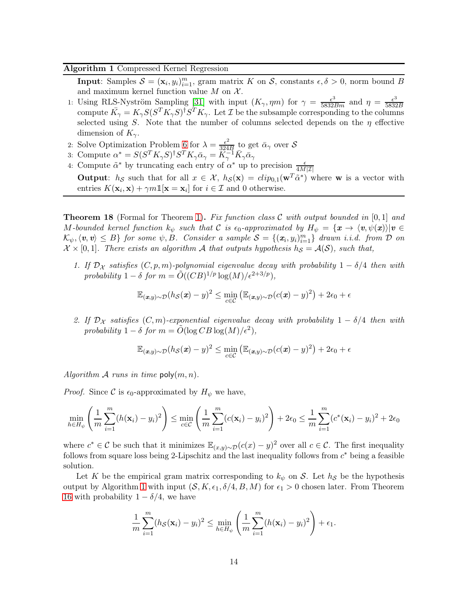#### <span id="page-14-0"></span>Algorithm 1 Compressed Kernel Regression

**Input**: Samples  $S = (\mathbf{x}_i, y_i)_{i=1}^m$ , gram matrix K on S, constants  $\epsilon, \delta > 0$ , norm bound B and maximum kernel function value  $M$  on  $\mathcal{X}$ .

- 1: Using RLS-Nyström Sampling [\[31\]](#page-20-4) with input  $(K_\gamma, \eta m)$  for  $\gamma = \frac{\epsilon^3}{5832Bm}$  and  $\eta = \frac{\epsilon^3}{5832Bm}$ 5832B compute  $\bar{K}_{\gamma} = K_{\gamma} S (S^T K_{\gamma} S)^{\dagger} S^T K_{\gamma}$ . Let  $\mathcal I$  be the subsample corresponding to the columns selected using S. Note that the number of columns selected depends on the  $\eta$  effective dimension of  $K_{\gamma}$ .
- 2: Solve Optimization Problem [6](#page-8-2) for  $\lambda = \frac{\epsilon^2}{324}$  $\frac{\epsilon^2}{324B}$  to get  $\bar{\alpha}_{\gamma}$  over  $\mathcal S$
- 3: Compute  $\alpha^* = S(S^T K_\gamma S)^{\dagger} S^T K_\gamma \bar{\alpha}_\gamma = \ddot{K}_\gamma^{-1} \bar{K}_\gamma \bar{\alpha}_\gamma$
- 4: Compute  $\tilde{\alpha}^*$  by truncating each entry of  $\alpha^*$  up to precision  $\frac{\epsilon}{4M|\mathcal{I}|}$

**Output:**  $h_{\mathcal{S}}$  such that for all  $x \in \mathcal{X}$ ,  $h_{\mathcal{S}}(\mathbf{x}) = clip_{0,1}(\mathbf{w}^T \tilde{\alpha}^*)$  where **w** is a vector with entries  $K(\mathbf{x}_i, \mathbf{x}) + \gamma m \mathbb{1}[\mathbf{x} = \mathbf{x}_i]$  for  $i \in \mathcal{I}$  and 0 otherwise.

<span id="page-14-1"></span>**Theorem 18** (Formal for Theorem [1\)](#page-2-0). Fix function class C with output bounded in  $[0,1]$  and M-bounded kernel function  $k_{\psi}$  such that C is  $\epsilon_0$ -approximated by  $H_{\psi} = {\mathbf{x} \to \langle v, \psi(x) \rangle | v \in \mathbb{R}}$  $\mathcal{K}_{\psi}, \langle v, v \rangle \leq B$  for some  $\psi, B$ . Consider a sample  $\mathcal{S} = \{ (x_i, y_i)_{i=1}^m \}$  drawn i.i.d. from  $D$  on  $\mathcal{X} \times [0, 1]$ . There exists an algorithm A that outputs hypothesis  $h_{\mathcal{S}} = \mathcal{A}(\mathcal{S})$ , such that,

1. If  $\mathcal{D}_{\mathcal{X}}$  satisfies  $(C, p, m)$ -polynomial eigenvalue decay with probability  $1 - \delta/4$  then with probability  $1 - \delta$  for  $m = \tilde{O}((CB)^{1/p} \log(M) / \epsilon^{2+3/p}),$ 

$$
\mathbb{E}_{(\boldsymbol{x},y)\sim\mathcal{D}}(h_{\mathcal{S}}(\boldsymbol{x})-y)^2 \leq \min_{c\in\mathcal{C}} (\mathbb{E}_{(\boldsymbol{x},y)\sim\mathcal{D}}(c(\boldsymbol{x})-y)^2) + 2\epsilon_0 + \epsilon
$$

2. If  $\mathcal{D}_{\mathcal{X}}$  satisfies  $(C, m)$ -exponential eigenvalue decay with probability  $1 - \delta/4$  then with probability  $1 - \delta$  for  $m = \tilde{O}(\log CB \log(M)/\epsilon^2)$ ,

$$
\mathbb{E}_{(\mathbf{x},y)\sim\mathcal{D}}(h_{\mathcal{S}}(\mathbf{x})-y)^2 \le \min_{c\in\mathcal{C}} (\mathbb{E}_{(\mathbf{x},y)\sim\mathcal{D}}(c(\mathbf{x})-y)^2) + 2\epsilon_0 + \epsilon
$$

Algorithm A runs in time  $\mathsf{poly}(m,n)$ .

*Proof.* Since C is  $\epsilon_0$ -approximated by  $H_{\psi}$  we have,

$$
\min_{h \in H_{\psi}} \left( \frac{1}{m} \sum_{i=1}^{m} (h(\mathbf{x}_i) - y_i)^2 \right) \le \min_{c \in \mathcal{C}} \left( \frac{1}{m} \sum_{i=1}^{m} (c(\mathbf{x}_i) - y_i)^2 \right) + 2\epsilon_0 \le \frac{1}{m} \sum_{i=1}^{m} (c^*(\mathbf{x}_i) - y_i)^2 + 2\epsilon_0
$$

where  $c^* \in \mathcal{C}$  be such that it minimizes  $\mathbb{E}_{(x,y)\sim\mathcal{D}}(c(x)-y)^2$  over all  $c \in \mathcal{C}$ . The first inequality follows from square loss being 2-Lipschitz and the last inequality follows from  $c^*$  being a feasible solution.

Let K be the empirical gram matrix corresponding to  $k_{\psi}$  on S. Let  $h_{\mathcal{S}}$  be the hypothesis output by Algorithm [1](#page-14-0) with input  $(S, K, \epsilon_1, \delta/4, B, M)$  for  $\epsilon_1 > 0$  chosen later. From Theorem [16](#page-13-6) with probability  $1 - \delta/4$ , we have

$$
\frac{1}{m}\sum_{i=1}^m (h_{\mathcal{S}}(\mathbf{x}_i) - y_i)^2 \le \min_{h \in H_{\psi}} \left( \frac{1}{m}\sum_{i=1}^m (h(\mathbf{x}_i) - y_i)^2 \right) + \epsilon_1.
$$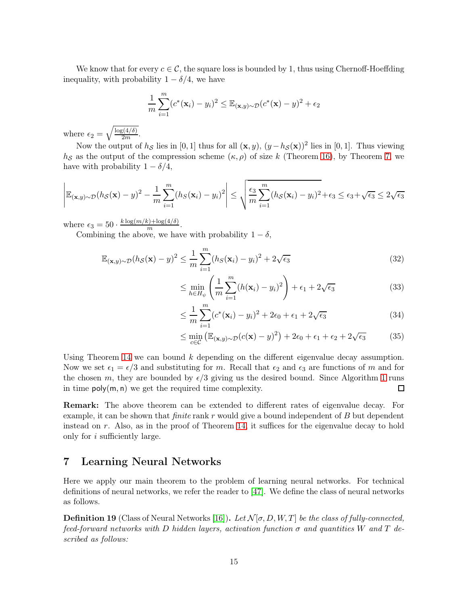We know that for every  $c \in \mathcal{C}$ , the square loss is bounded by 1, thus using Chernoff-Hoeffding inequality, with probability  $1 - \delta/4$ , we have

$$
\frac{1}{m}\sum_{i=1}^{m}(c^*(\mathbf{x}_i)-y_i)^2 \leq \mathbb{E}_{(\mathbf{x},y)\sim\mathcal{D}}(c^*(\mathbf{x})-y)^2 + \epsilon_2
$$

where  $\epsilon_2 = \sqrt{\frac{\log(4/\delta)}{2m}}$ .

Now the output of  $h_{\mathcal{S}}$  lies in [0, 1] thus for all  $(\mathbf{x}, y)$ ,  $(y - h_{\mathcal{S}}(\mathbf{x}))^2$  lies in [0, 1]. Thus viewing  $h<sub>S</sub>$  as the output of the compression scheme  $(\kappa, \rho)$  of size k (Theorem [16\)](#page-13-6), by Theorem [7,](#page-5-1) we have with probability  $1 - \delta/4$ ,

$$
\left| \mathbb{E}_{(\mathbf{x},y)\sim\mathcal{D}}(h_{\mathcal{S}}(\mathbf{x}) - y)^2 - \frac{1}{m} \sum_{i=1}^m (h_{\mathcal{S}}(\mathbf{x}_i) - y_i)^2 \right| \le \sqrt{\frac{\epsilon_3}{m} \sum_{i=1}^m (h_{\mathcal{S}}(\mathbf{x}_i) - y_i)^2 + \epsilon_3} \le \epsilon_3 + \sqrt{\epsilon_3} \le 2\sqrt{\epsilon_3}
$$

where  $\epsilon_3 = 50 \cdot \frac{k \log(m/k) + \log(4/\delta)}{m}$ .

Combining the above, we have with probability  $1 - \delta$ ,

$$
\mathbb{E}_{(\mathbf{x},y)\sim\mathcal{D}}(h_{\mathcal{S}}(\mathbf{x}) - y)^2 \le \frac{1}{m} \sum_{i=1}^m (h_{\mathcal{S}}(\mathbf{x}_i) - y_i)^2 + 2\sqrt{\epsilon_3}
$$
(32)

$$
\leq \min_{h \in H_{\psi}} \left( \frac{1}{m} \sum_{i=1}^{m} (h(\mathbf{x}_i) - y_i)^2 \right) + \epsilon_1 + 2\sqrt{\epsilon_3} \tag{33}
$$

$$
\leq \frac{1}{m} \sum_{i=1}^{m} (c^*(\mathbf{x}_i) - y_i)^2 + 2\epsilon_0 + \epsilon_1 + 2\sqrt{\epsilon_3}
$$
 (34)

$$
\leq \min_{c \in \mathcal{C}} \left( \mathbb{E}_{(\mathbf{x}, y) \sim \mathcal{D}} (c(\mathbf{x}) - y)^2 \right) + 2\epsilon_0 + \epsilon_1 + \epsilon_2 + 2\sqrt{\epsilon_3} \tag{35}
$$

Using Theorem [14](#page-10-1) we can bound  $k$  depending on the different eigenvalue decay assumption. Now we set  $\epsilon_1 = \epsilon/3$  and substituting for m. Recall that  $\epsilon_2$  and  $\epsilon_3$  are functions of m and for the chosen m, they are bounded by  $\epsilon/3$  giving us the desired bound. Since Algorithm [1](#page-14-0) runs in time  $\mathsf{poly}(m, n)$  we get the required time complexity.  $\Box$ 

Remark: The above theorem can be extended to different rates of eigenvalue decay. For example, it can be shown that *finite* rank  $r$  would give a bound independent of  $B$  but dependent instead on  $r$ . Also, as in the proof of Theorem [14,](#page-10-1) it suffices for the eigenvalue decay to hold only for i sufficiently large.

# 7 Learning Neural Networks

Here we apply our main theorem to the problem of learning neural networks. For technical definitions of neural networks, we refer the reader to [\[47\]](#page-21-0). We define the class of neural networks as follows.

**Definition 19** (Class of Neural Networks [\[16\]](#page-19-0)). Let  $\mathcal{N}[\sigma, D, W, T]$  be the class of fully-connected, feed-forward networks with D hidden layers, activation function  $\sigma$  and quantities W and T described as follows: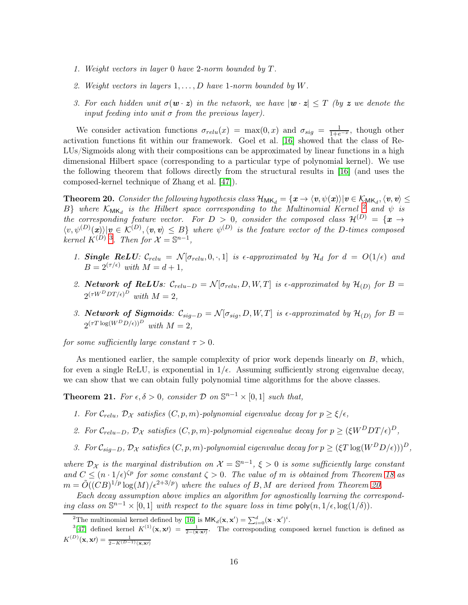- 1. Weight vectors in layer 0 have 2-norm bounded by T.
- 2. Weight vectors in layers  $1, \ldots, D$  have 1-norm bounded by W.
- 3. For each hidden unit  $\sigma(\mathbf{w} \cdot \mathbf{z})$  in the network, we have  $|\mathbf{w} \cdot \mathbf{z}| \leq T$  (by z we denote the input feeding into unit  $\sigma$  from the previous layer).

We consider activation functions  $\sigma_{relu}(x) = \max(0, x)$  and  $\sigma_{sig} = \frac{1}{1 + e^{-x}}$ , though other activation functions fit within our framework. Goel et al. [\[16\]](#page-19-0) showed that the class of Re-LUs/Sigmoids along with their compositions can be approximated by linear functions in a high dimensional Hilbert space (corresponding to a particular type of polynomial kernel). We use the following theorem that follows directly from the structural results in [\[16\]](#page-19-0) (and uses the composed-kernel technique of Zhang et al. [\[47\]](#page-21-0)).

<span id="page-16-0"></span>**Theorem 20.** Consider the following hypothesis class  $\mathcal{H}_{MK_d} = \{x \to \langle v, \psi(x) \rangle | v \in \mathcal{K}_{MK_d}, \langle v, v \rangle \leq$ B} where  $K_{MK_d}$  is the Hilbert space corresponding to the Multinomial Kernel  $\frac{2}{3}$  and  $\psi$  is the corresponding feature vector. For  $D > 0$ , consider the composed class  $\mathcal{H}^{(D)} = {\mathbf{x} \rightarrow 0}$  $\langle v, \psi^{(D)}(\mathbf{x}) \rangle | v \in \mathcal{K}^{(D)}, \langle v, v \rangle \leq B$  where  $\psi^{(D)}$  is the feature vector of the D-times composed kernel  $K^{(D)}$  3. Then for  $\mathcal{X} = \mathbb{S}^{n-1}$ ,

- 1. Single ReLU:  $C_{relu} = \mathcal{N}[\sigma_{relu}, 0, \cdot, 1]$  is  $\epsilon$ -approximated by  $\mathcal{H}_d$  for  $d = O(1/\epsilon)$  and  $B = 2^{(\tau/\epsilon)}$  with  $M = d + 1$ ,
- 2. Network of ReLUs:  $\mathcal{C}_{relu-D} = \mathcal{N}[\sigma_{relu}, D, W, T]$  is  $\epsilon$ -approximated by  $\mathcal{H}_{(D)}$  for  $B =$  $2^{(\tau W^D DT/\epsilon)^D}$  with  $M=2$ ,
- 3. Network of Sigmoids:  $\mathcal{C}_{sig-D} = \mathcal{N}[\sigma_{sig}, D, W, T]$  is  $\epsilon$ -approximated by  $\mathcal{H}_{(D)}$  for  $B =$  $2^{(\tau T \log(W^D D/\epsilon))D}$  with  $M=2$ ,

for some sufficiently large constant  $\tau > 0$ .

As mentioned earlier, the sample complexity of prior work depends linearly on B, which, for even a single ReLU, is exponential in  $1/\epsilon$ . Assuming sufficiently strong eigenvalue decay, we can show that we can obtain fully polynomial time algorithms for the above classes.

<span id="page-16-1"></span>**Theorem 21.** For  $\epsilon, \delta > 0$ , consider  $\mathcal{D}$  on  $\mathbb{S}^{n-1} \times [0, 1]$  such that,

- 1. For  $C_{relu}$ ,  $D_{\mathcal{X}}$  satisfies  $(C, p, m)$ -polynomial eigenvalue decay for  $p \geq \xi/\epsilon$ ,
- 2. For  $C_{relu-D}$ ,  $\mathcal{D_X}$  satisfies  $(C, p, m)$ -polynomial eigenvalue decay for  $p \geq (\xi W^D DT/\epsilon)^D$ ,
- 3. For  $C_{sig-D}$ ,  $\mathcal{D}_{\mathcal{X}}$  satisfies  $(C, p, m)$ -polynomial eigenvalue decay for  $p \geq (\xi T \log(W^D D/\epsilon)))^D$ ,

where  $\mathcal{D}_{\mathcal{X}}$  is the marginal distribution on  $\mathcal{X} = \mathbb{S}^{n-1}$ ,  $\xi > 0$  is some sufficiently large constant and  $C \leq (n \cdot 1/\epsilon)^{\zeta p}$  for some constant  $\zeta > 0$ . The value of m is obtained from Theorem [18](#page-14-1) as  $m = \tilde{O}((CB)^{1/p} \log(M)/\epsilon^{2+3/p})$  where the values of B, M are derived from Theorem [20.](#page-16-0)

Each decay assumption above implies an algorithm for agnostically learning the corresponding class on  $\mathbb{S}^{n-1} \times [0,1]$  with respect to the square loss in time  $\text{poly}(n,1/\epsilon,\log(1/\delta))$ .

<sup>&</sup>lt;sup>2</sup>The multinomial kernel defined by [\[16\]](#page-19-0) is  $MK_d(\mathbf{x}, \mathbf{x}') = \sum_{i=0}^d (\mathbf{x} \cdot \mathbf{x}')^i$ .<br><sup>3</sup>[\[47\]](#page-21-0) defined kernel  $K^{(1)}(\mathbf{x}, \mathbf{x}') = \frac{1}{2-(\mathbf{x} \cdot \mathbf{x}')}$ . The corresponding composed kernel function is defined as  $K^{(D)}(\mathbf{x}, \mathbf{x}) = \frac{1}{2 - K^{(D-1)}(\mathbf{x}, \mathbf{x}')}$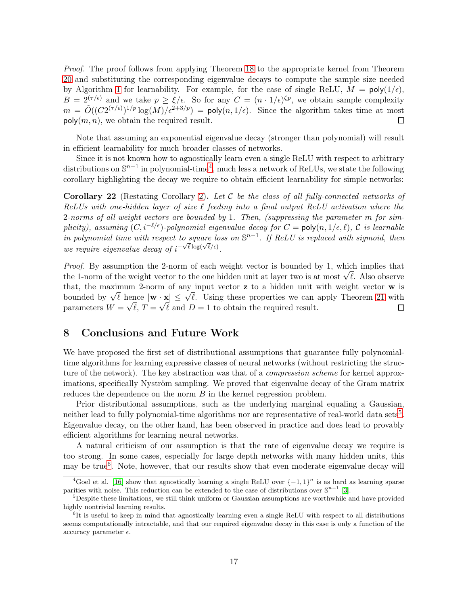Proof. The proof follows from applying Theorem [18](#page-14-1) to the appropriate kernel from Theorem [20](#page-16-0) and substituting the corresponding eigenvalue decays to compute the sample size needed by Algorithm [1](#page-14-0) for learnability. For example, for the case of single ReLU,  $M = \text{poly}(1/\epsilon)$ ,  $B = 2^{(\tau/\epsilon)}$  and we take  $p \geq \xi/\epsilon$ . So for any  $C = (n \cdot 1/\epsilon)^{\zeta p}$ , we obtain sample complexity  $m = \tilde{O}((C2^{(\tau/\epsilon)})^{1/p} \log(M)/\epsilon^{2+3/p}) = \text{poly}(n, 1/\epsilon)$ . Since the algorithm takes time at most  $\mathsf{poly}(m, n)$ , we obtain the required result. □

Note that assuming an exponential eigenvalue decay (stronger than polynomial) will result in efficient learnability for much broader classes of networks.

Since it is not known how to agnostically learn even a single ReLU with respect to arbitrary distributions on  $\mathbb{S}^{n-1}$  in polynomial-time<sup>4</sup>, much less a network of ReLUs, we state the following corollary highlighting the decay we require to obtain efficient learnability for simple networks:

**Corollary 22** (Restating Corollary [2\)](#page-2-2). Let C be the class of all fully-connected networks of ReLUs with one-hidden layer of size  $\ell$  feeding into a final output ReLU activation where the 2-norms of all weight vectors are bounded by 1. Then, (suppressing the parameter m for simplicity), assuming  $(C, i^{-\ell/\epsilon})$ -polynomial eigenvalue decay for  $C = \text{poly}(n, 1/\epsilon, \ell)$ , C is learnable in polynomial time with respect to square loss on  $\mathbb{S}^{n-1}$ . If ReLU is replaced with sigmoid, then we require eigenvalue decay of  $i^{-\sqrt{\ell} \log(\sqrt{\ell}/\epsilon)}$ .

Proof. By assumption the 2-norm of each weight vector is bounded by 1, which implies that the 1-norm of the weight vector to the one hidden unit at layer two is at most  $\sqrt{\ell}$ . Also observe that, the maximum 2-norm of any input vector z to a hidden unit with weight vector w is bounded by  $\sqrt{\ell}$  hence  $|\mathbf{w} \cdot \mathbf{x}| \leq \sqrt{\ell}$ . Using these properties we can apply Theorem [21](#page-16-1) with parameters  $W = \sqrt{\ell}, T = \sqrt{\ell}$  and  $D = 1$  to obtain the required result.  $\Box$ 

### 8 Conclusions and Future Work

We have proposed the first set of distributional assumptions that guarantee fully polynomialtime algorithms for learning expressive classes of neural networks (without restricting the structure of the network). The key abstraction was that of a *compression scheme* for kernel approximations, specifically Nyström sampling. We proved that eigenvalue decay of the Gram matrix reduces the dependence on the norm B in the kernel regression problem.

Prior distributional assumptions, such as the underlying marginal equaling a Gaussian, neither lead to fully polynomial-time algorithms nor are representative of real-world data sets<sup>5</sup>. Eigenvalue decay, on the other hand, has been observed in practice and does lead to provably efficient algorithms for learning neural networks.

A natural criticism of our assumption is that the rate of eigenvalue decay we require is too strong. In some cases, especially for large depth networks with many hidden units, this may be true<sup>6</sup>. Note, however, that our results show that even moderate eigenvalue decay will

<sup>&</sup>lt;sup>4</sup>Goel et al. [\[16\]](#page-19-0) show that agnostically learning a single ReLU over  $\{-1,1\}^n$  is as hard as learning sparse parities with noise. This reduction can be extended to the case of distributions over  $\mathbb{S}^{n-1}$  [\[3\]](#page-18-11).

 $5$ Despite these limitations, we still think uniform or Gaussian assumptions are worthwhile and have provided highly nontrivial learning results.

<sup>&</sup>lt;sup>6</sup>It is useful to keep in mind that agnostically learning even a single ReLU with respect to all distributions seems computationally intractable, and that our required eigenvalue decay in this case is only a function of the accuracy parameter  $\epsilon$ .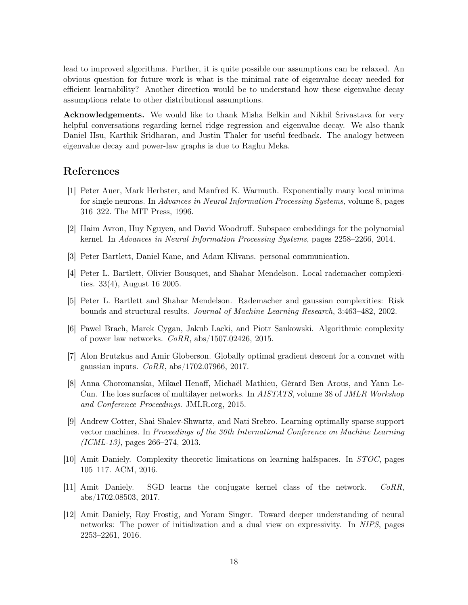lead to improved algorithms. Further, it is quite possible our assumptions can be relaxed. An obvious question for future work is what is the minimal rate of eigenvalue decay needed for efficient learnability? Another direction would be to understand how these eigenvalue decay assumptions relate to other distributional assumptions.

Acknowledgements. We would like to thank Misha Belkin and Nikhil Srivastava for very helpful conversations regarding kernel ridge regression and eigenvalue decay. We also thank Daniel Hsu, Karthik Sridharan, and Justin Thaler for useful feedback. The analogy between eigenvalue decay and power-law graphs is due to Raghu Meka.

# <span id="page-18-10"></span>References

- [1] Peter Auer, Mark Herbster, and Manfred K. Warmuth. Exponentially many local minima for single neurons. In Advances in Neural Information Processing Systems, volume 8, pages 316–322. The MIT Press, 1996.
- <span id="page-18-11"></span><span id="page-18-2"></span>[2] Haim Avron, Huy Nguyen, and David Woodruff. Subspace embeddings for the polynomial kernel. In Advances in Neural Information Processing Systems, pages 2258–2266, 2014.
- <span id="page-18-4"></span>[3] Peter Bartlett, Daniel Kane, and Adam Klivans. personal communication.
- <span id="page-18-5"></span>[4] Peter L. Bartlett, Olivier Bousquet, and Shahar Mendelson. Local rademacher complexities. 33(4), August 16 2005.
- <span id="page-18-1"></span>[5] Peter L. Bartlett and Shahar Mendelson. Rademacher and gaussian complexities: Risk bounds and structural results. Journal of Machine Learning Research, 3:463–482, 2002.
- [6] Pawel Brach, Marek Cygan, Jakub Lacki, and Piotr Sankowski. Algorithmic complexity of power law networks.  $CoRR$ , abs/1507.02426, 2015.
- <span id="page-18-9"></span>[7] Alon Brutzkus and Amir Globerson. Globally optimal gradient descent for a convnet with gaussian inputs.  $CoRR$ ,  $abs/1702.07966$ , 2017.
- <span id="page-18-8"></span>[8] Anna Choromanska, Mikael Henaff, Michaël Mathieu, Gérard Ben Arous, and Yann Le-Cun. The loss surfaces of multilayer networks. In AISTATS, volume 38 of JMLR Workshop and Conference Proceedings. JMLR.org, 2015.
- <span id="page-18-3"></span>[9] Andrew Cotter, Shai Shalev-Shwartz, and Nati Srebro. Learning optimally sparse support vector machines. In Proceedings of the 30th International Conference on Machine Learning (ICML-13), pages 266–274, 2013.
- <span id="page-18-6"></span><span id="page-18-0"></span>[10] Amit Daniely. Complexity theoretic limitations on learning halfspaces. In STOC, pages 105–117. ACM, 2016.
- <span id="page-18-7"></span>[11] Amit Daniely. SGD learns the conjugate kernel class of the network. CoRR, abs/1702.08503, 2017.
- [12] Amit Daniely, Roy Frostig, and Yoram Singer. Toward deeper understanding of neural networks: The power of initialization and a dual view on expressivity. In NIPS, pages 2253–2261, 2016.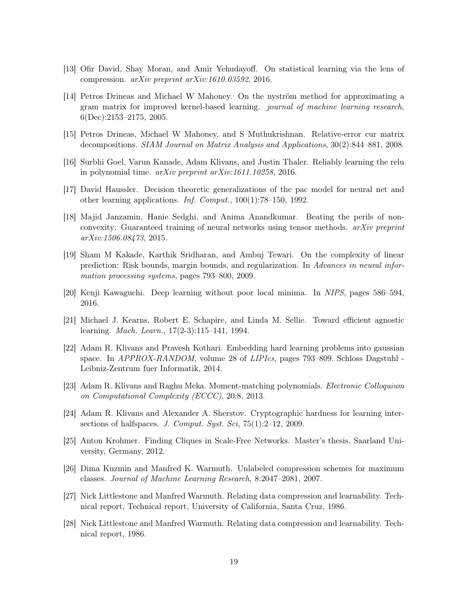- <span id="page-19-6"></span><span id="page-19-4"></span>[13] Ofir David, Shay Moran, and Amir Yehudayoff. On statistical learning via the lens of compression. arXiv preprint arXiv:1610.03592, 2016.
- [14] Petros Drineas and Michael W Mahoney. On the nyström method for approximating a gram matrix for improved kernel-based learning. journal of machine learning research, 6(Dec):2153–2175, 2005.
- <span id="page-19-5"></span><span id="page-19-0"></span>[15] Petros Drineas, Michael W Mahoney, and S Muthukrishnan. Relative-error cur matrix decompositions. SIAM Journal on Matrix Analysis and Applications, 30(2):844–881, 2008.
- <span id="page-19-13"></span>[16] Surbhi Goel, Varun Kanade, Adam Klivans, and Justin Thaler. Reliably learning the relu in polynomial time. arXiv preprint arXiv:1611.10258, 2016.
- <span id="page-19-10"></span>[17] David Haussler. Decision theoretic generalizations of the pac model for neural net and other learning applications. Inf. Comput., 100(1):78–150, 1992.
- [18] Majid Janzamin, Hanie Sedghi, and Anima Anandkumar. Beating the perils of nonconvexity: Guaranteed training of neural networks using tensor methods. arXiv preprint arXiv:1506.08473, 2015.
- <span id="page-19-14"></span>[19] Sham M Kakade, Karthik Sridharan, and Ambuj Tewari. On the complexity of linear prediction: Risk bounds, margin bounds, and regularization. In Advances in neural information processing systems, pages 793–800, 2009.
- <span id="page-19-12"></span><span id="page-19-11"></span>[20] Kenji Kawaguchi. Deep learning without poor local minima. In NIPS, pages 586–594, 2016.
- <span id="page-19-2"></span>[21] Michael J. Kearns, Robert E. Schapire, and Linda M. Sellie. Toward efficient agnostic learning. Mach. Learn., 17(2-3):115–141, 1994.
- [22] Adam R. Klivans and Pravesh Kothari. Embedding hard learning problems into gaussian space. In APPROX-RANDOM, volume 28 of LIPIcs, pages 793–809. Schloss Dagstuhl - Leibniz-Zentrum fuer Informatik, 2014.
- <span id="page-19-9"></span>[23] Adam R. Klivans and Raghu Meka. Moment-matching polynomials. Electronic Colloquium on Computational Complexity (ECCC), 20:8, 2013.
- <span id="page-19-1"></span>[24] Adam R. Klivans and Alexander A. Sherstov. Cryptographic hardness for learning intersections of halfspaces. J. Comput. Syst. Sci,  $75(1):2-12$ , 2009.
- <span id="page-19-7"></span><span id="page-19-3"></span>[25] Anton Krohmer. Finding Cliques in Scale-Free Networks. Master's thesis, Saarland University, Germany, 2012.
- [26] Dima Kuzmin and Manfred K. Warmuth. Unlabeled compression schemes for maximum classes. Journal of Machine Learning Research, 8:2047–2081, 2007.
- <span id="page-19-8"></span>[27] Nick Littlestone and Manfred Warmuth. Relating data compression and learnability. Technical report, Technical report, University of California, Santa Cruz, 1986.
- <span id="page-19-15"></span>[28] Nick Littlestone and Manfred Warmuth. Relating data compression and learnability. Technical report, 1986.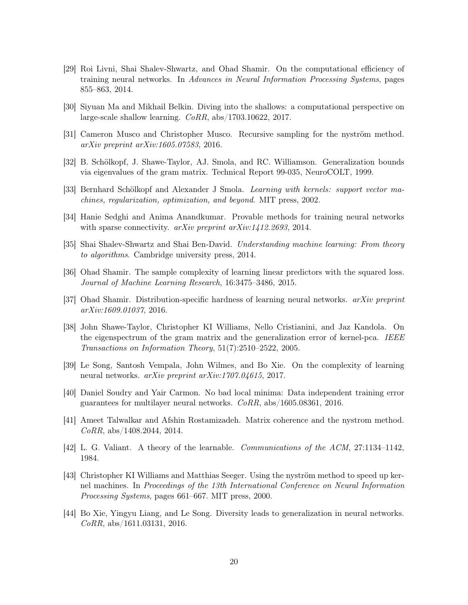- <span id="page-20-0"></span>[29] Roi Livni, Shai Shalev-Shwartz, and Ohad Shamir. On the computational efficiency of training neural networks. In Advances in Neural Information Processing Systems, pages 855–863, 2014.
- <span id="page-20-6"></span><span id="page-20-4"></span>[30] Siyuan Ma and Mikhail Belkin. Diving into the shallows: a computational perspective on large-scale shallow learning. CoRR, abs/1703.10622, 2017.
- <span id="page-20-9"></span>[31] Cameron Musco and Christopher Musco. Recursive sampling for the nyström method. arXiv preprint arXiv:1605.07583, 2016.
- <span id="page-20-3"></span>[32] B. Schölkopf, J. Shawe-Taylor, AJ. Smola, and RC. Williamson. Generalization bounds via eigenvalues of the gram matrix. Technical Report 99-035, NeuroCOLT, 1999.
- <span id="page-20-12"></span>[33] Bernhard Schölkopf and Alexander J Smola. Learning with kernels: support vector machines, regularization, optimization, and beyond. MIT press, 2002.
- <span id="page-20-15"></span>[34] Hanie Sedghi and Anima Anandkumar. Provable methods for training neural networks with sparse connectivity. *arXiv preprint arXiv:1412.2693*, 2014.
- <span id="page-20-10"></span>[35] Shai Shalev-Shwartz and Shai Ben-David. Understanding machine learning: From theory to algorithms. Cambridge university press, 2014.
- <span id="page-20-2"></span>[36] Ohad Shamir. The sample complexity of learning linear predictors with the squared loss. Journal of Machine Learning Research, 16:3475–3486, 2015.
- <span id="page-20-7"></span>[37] Ohad Shamir. Distribution-specific hardness of learning neural networks. arXiv preprint arXiv:1609.01037, 2016.
- [38] John Shawe-Taylor, Christopher KI Williams, Nello Cristianini, and Jaz Kandola. On the eigenspectrum of the gram matrix and the generalization error of kernel-pca. IEEE Transactions on Information Theory, 51(7):2510–2522, 2005.
- <span id="page-20-13"></span><span id="page-20-1"></span>[39] Le Song, Santosh Vempala, John Wilmes, and Bo Xie. On the complexity of learning neural networks. arXiv preprint arXiv:1707.04615, 2017.
- <span id="page-20-8"></span>[40] Daniel Soudry and Yair Carmon. No bad local minima: Data independent training error guarantees for multilayer neural networks.  $CoRR$ , abs/1605.08361, 2016.
- [41] Ameet Talwalkar and Afshin Rostamizadeh. Matrix coherence and the nystrom method.  $CoRR$ , abs/1408.2044, 2014.
- <span id="page-20-14"></span><span id="page-20-5"></span>[42] L. G. Valiant. A theory of the learnable. Communications of the ACM, 27:1134–1142, 1984.
- [43] Christopher KI Williams and Matthias Seeger. Using the nyström method to speed up kernel machines. In Proceedings of the 13th International Conference on Neural Information Processing Systems, pages 661–667. MIT press, 2000.
- <span id="page-20-11"></span>[44] Bo Xie, Yingyu Liang, and Le Song. Diversity leads to generalization in neural networks.  $CoRR$ , abs/1611.03131, 2016.